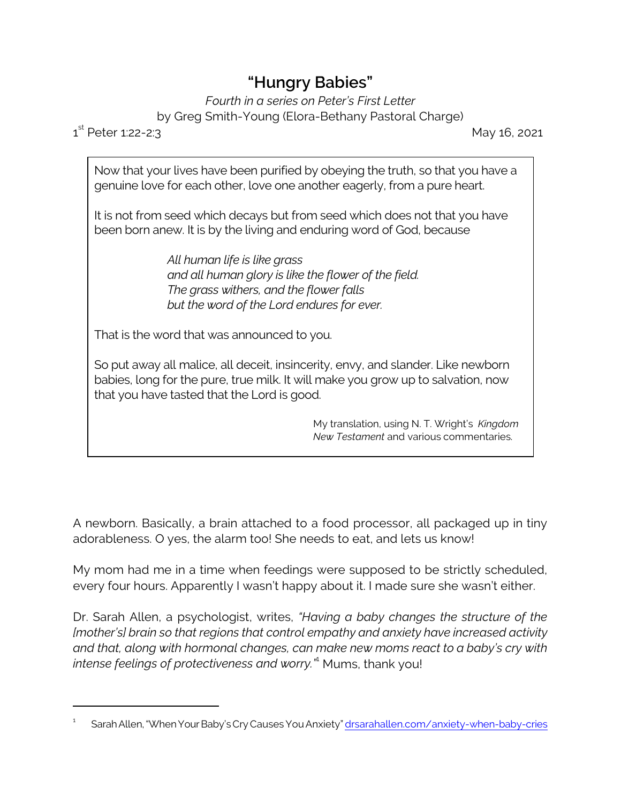## **"Hungry Babies"**

*Fourth in a series on Peter's First Letter* by Greg Smith-Young (Elora-Bethany Pastoral Charge)

 $1^{\text{st}}$ 

May 16, 2021

Now that your lives have been purified by obeying the truth, so that you have a genuine love for each other, love one another eagerly, from a pure heart.

It is not from seed which decays but from seed which does not that you have been born anew. It is by the living and enduring word of God, because

> *All human life is like grass and all human glory is like the flower of the field. The grass withers, and the flower falls but the word of the Lord endures for ever.*

That is the word that was announced to you.

So put away all malice, all deceit, insincerity, envy, and slander. Like newborn babies, long for the pure, true milk. It will make you grow up to salvation, now that you have tasted that the Lord is good.

> My translation, using N. T. Wright's *Kingdom New Testament* and various commentaries.

A newborn. Basically, a brain attached to a food processor, all packaged up in tiny adorableness. O yes, the alarm too! She needs to eat, and lets us know!

My mom had me in a time when feedings were supposed to be strictly scheduled, every four hours. Apparently I wasn't happy about it. I made sure she wasn't either.

Dr. Sarah Allen, a psychologist, writes, *"Having a baby changes the structure of the [mother's] brain so that regions that control empathy and anxiety have increased activity and that, along with hormonal changes, can make new moms react to a baby's cry with intense feelings of protectiveness and worry."*<sup>1</sup> Mums, thank you!

<sup>1</sup> SarahAllen,"WhenYourBaby'sCry CausesYou Anxiety" [drsarahallen.com/anxiety-when-baby-cries](https://drsarahallen.com/anxiety-when-baby-cries/)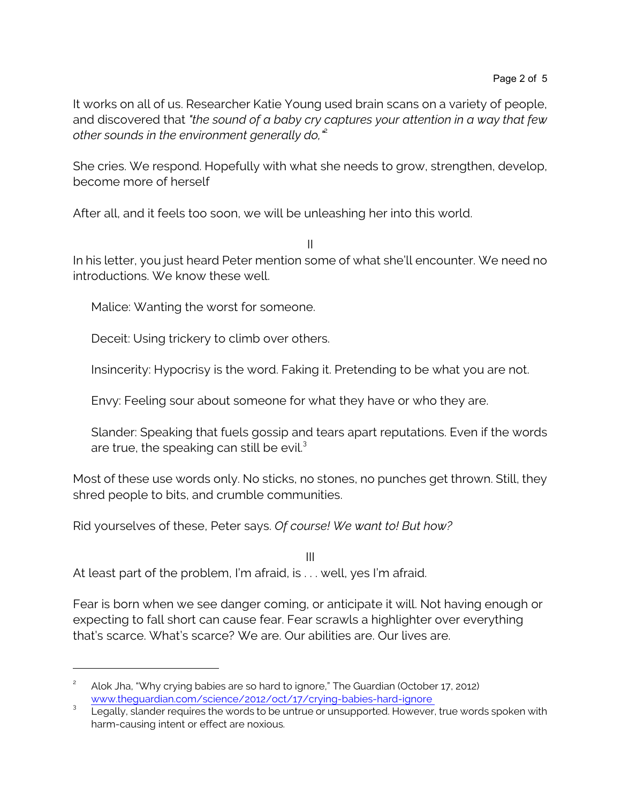It works on all of us. Researcher Katie Young used brain scans on a variety of people, and discovered that *"the sound of a baby cry captures your attention in a way that few other sounds in the environment generally do,"*<sup>2</sup>

She cries. We respond. Hopefully with what she needs to grow, strengthen, develop, become more of herself

After all, and it feels too soon, we will be unleashing her into this world.

II

In his letter, you just heard Peter mention some of what she'll encounter. We need no introductions. We know these well.

Malice: Wanting the worst for someone.

Deceit: Using trickery to climb over others.

Insincerity: Hypocrisy is the word. Faking it. Pretending to be what you are not.

Envy: Feeling sour about someone for what they have or who they are.

Slander: Speaking that fuels gossip and tears apart reputations. Even if the words are true, the speaking can still be evil. $3$ 

Most of these use words only. No sticks, no stones, no punches get thrown. Still, they shred people to bits, and crumble communities.

Rid yourselves of these, Peter says. *Of course! We want to! But how?*

III At least part of the problem, I'm afraid, is . . . well, yes I'm afraid.

Fear is born when we see danger coming, or anticipate it will. Not having enough or expecting to fall short can cause fear. Fear scrawls a highlighter over everything that's scarce. What's scarce? We are. Our abilities are. Our lives are.

<sup>2</sup> Alok Jha, "Why crying babies are so hard to ignore," The Guardian (October 17, 2012) [www.theguardian.com/science/2012/oct/17/crying-babies-hard-ignore](https://www.theguardian.com/science/2012/oct/17/crying-babies-hard-ignore) 

<sup>&</sup>lt;sup>3</sup> Legally, slander requires the words to be untrue or unsupported. However, true words spoken with harm-causing intent or effect are noxious.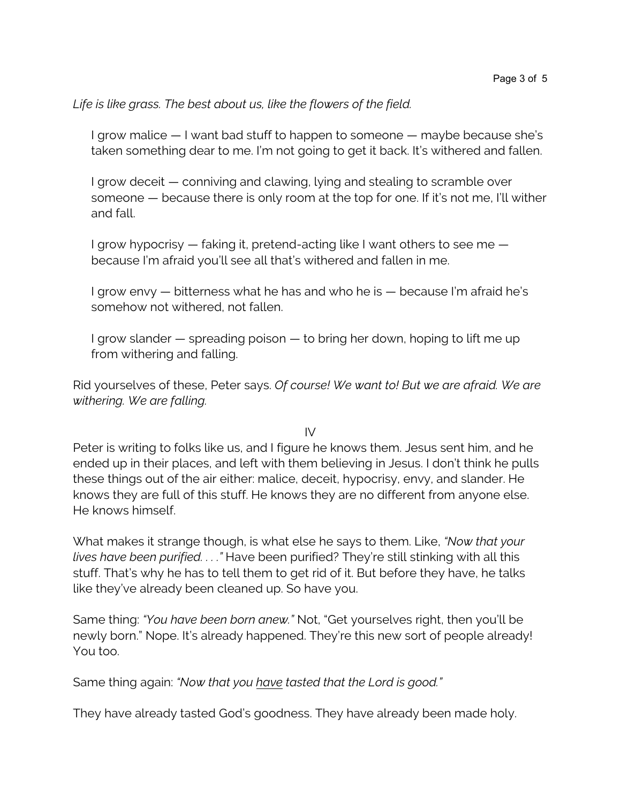## *Life is like grass. The best about us, like the flowers of the field.*

I grow malice — I want bad stuff to happen to someone — maybe because she's taken something dear to me. I'm not going to get it back. It's withered and fallen.

I grow deceit — conniving and clawing, lying and stealing to scramble over someone — because there is only room at the top for one. If it's not me, I'll wither and fall.

I grow hypocrisy — faking it, pretend-acting like I want others to see me because I'm afraid you'll see all that's withered and fallen in me.

I grow envy — bitterness what he has and who he is — because I'm afraid he's somehow not withered, not fallen.

I grow slander — spreading poison — to bring her down, hoping to lift me up from withering and falling.

Rid yourselves of these, Peter says. *Of course! We want to! But we are afraid. We are withering. We are falling.*

 $IV$ 

Peter is writing to folks like us, and I figure he knows them. Jesus sent him, and he ended up in their places, and left with them believing in Jesus. I don't think he pulls these things out of the air either: malice, deceit, hypocrisy, envy, and slander. He knows they are full of this stuff. He knows they are no different from anyone else. He knows himself.

What makes it strange though, is what else he says to them. Like, *"Now that your lives have been purified. . . ."* Have been purified? They're still stinking with all this stuff. That's why he has to tell them to get rid of it. But before they have, he talks like they've already been cleaned up. So have you.

Same thing: *"You have been born anew."* Not, "Get yourselves right, then you'll be newly born." Nope. It's already happened. They're this new sort of people already! You too.

Same thing again: *"Now that you have tasted that the Lord is good."* 

They have already tasted God's goodness. They have already been made holy.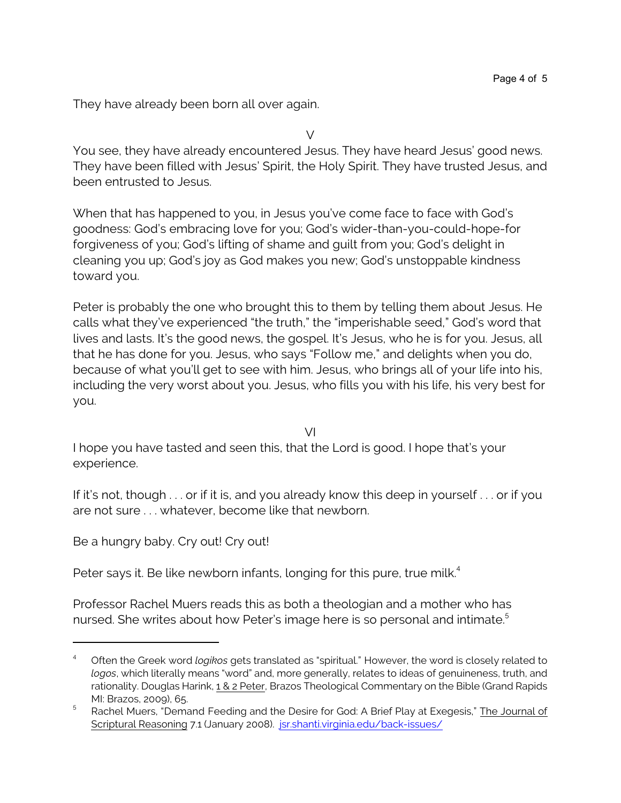They have already been born all over again.

 $\vee$ 

You see, they have already encountered Jesus. They have heard Jesus' good news. They have been filled with Jesus' Spirit, the Holy Spirit. They have trusted Jesus, and been entrusted to Jesus.

When that has happened to you, in Jesus you've come face to face with God's goodness: God's embracing love for you; God's wider-than-you-could-hope-for forgiveness of you; God's lifting of shame and guilt from you; God's delight in cleaning you up; God's joy as God makes you new; God's unstoppable kindness toward you.

Peter is probably the one who brought this to them by telling them about Jesus. He calls what they've experienced "the truth," the "imperishable seed," God's word that lives and lasts. It's the good news, the gospel. It's Jesus, who he is for you. Jesus, all that he has done for you. Jesus, who says "Follow me," and delights when you do, because of what you'll get to see with him. Jesus, who brings all of your life into his, including the very worst about you. Jesus, who fills you with his life, his very best for you.

VI

I hope you have tasted and seen this, that the Lord is good. I hope that's your experience.

If it's not, though . . . or if it is, and you already know this deep in yourself . . . or if you are not sure . . . whatever, become like that newborn.

Be a hungry baby. Cry out! Cry out!

Peter says it. Be like newborn infants, longing for this pure, true milk.<sup>4</sup>

Professor Rachel Muers reads this as both a theologian and a mother who has nursed. She writes about how Peter's image here is so personal and intimate. 5

<sup>4</sup> Often the Greek word *logikos* gets translated as "spiritual." However, the word is closely related to *logos*, which literally means "word" and, more generally, relates to ideas of genuineness, truth, and rationality. Douglas Harink, 1 & 2 Peter, Brazos Theological Commentary on the Bible (Grand Rapids MI: Brazos, 2009), 65.

<sup>&</sup>lt;sup>5</sup> Rachel Muers, "Demand Feeding and the Desire for God: A Brief Play at Exegesis," The Journal of Scriptural Reasoning 7.1 (January 2008). [jsr.shanti.virginia.edu/back-issues/](http://jsr.shanti.virginia.edu/back-issues/vol-7-no-1-january-2008-spreading-rumours-of-wisdom/demand-feeding-and-the-desire-for-god/)